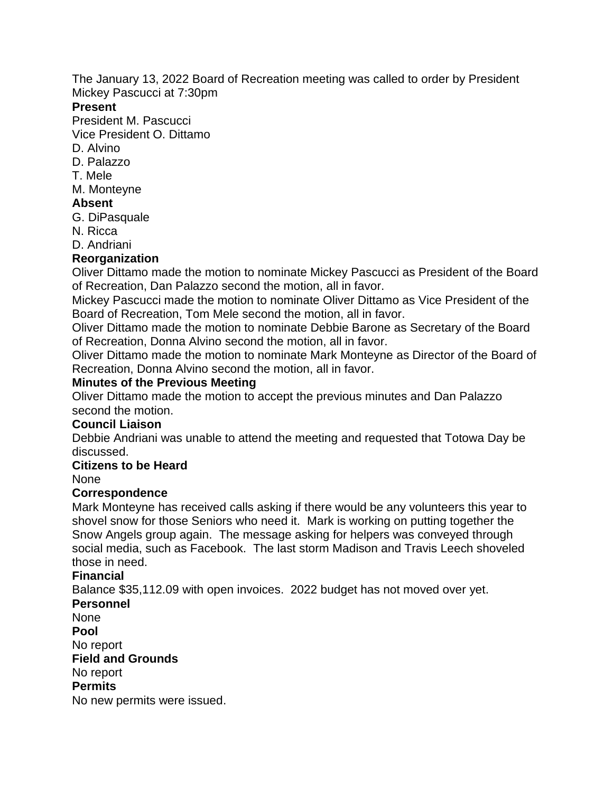The January 13, 2022 Board of Recreation meeting was called to order by President Mickey Pascucci at 7:30pm

#### **Present**

President M. Pascucci

Vice President O. Dittamo

- D. Alvino
- D. Palazzo
- T. Mele
- M. Monteyne

## **Absent**

- G. DiPasquale
- N. Ricca
- D. Andriani

# **Reorganization**

Oliver Dittamo made the motion to nominate Mickey Pascucci as President of the Board of Recreation, Dan Palazzo second the motion, all in favor.

Mickey Pascucci made the motion to nominate Oliver Dittamo as Vice President of the Board of Recreation, Tom Mele second the motion, all in favor.

Oliver Dittamo made the motion to nominate Debbie Barone as Secretary of the Board of Recreation, Donna Alvino second the motion, all in favor.

Oliver Dittamo made the motion to nominate Mark Monteyne as Director of the Board of Recreation, Donna Alvino second the motion, all in favor.

## **Minutes of the Previous Meeting**

Oliver Dittamo made the motion to accept the previous minutes and Dan Palazzo second the motion.

## **Council Liaison**

Debbie Andriani was unable to attend the meeting and requested that Totowa Day be discussed.

## **Citizens to be Heard**

None

## **Correspondence**

Mark Monteyne has received calls asking if there would be any volunteers this year to shovel snow for those Seniors who need it. Mark is working on putting together the Snow Angels group again. The message asking for helpers was conveyed through social media, such as Facebook. The last storm Madison and Travis Leech shoveled those in need.

## **Financial**

Balance \$35,112.09 with open invoices. 2022 budget has not moved over yet.

# **Personnel**

None **Pool** No report **Field and Grounds** No report **Permits** No new permits were issued.